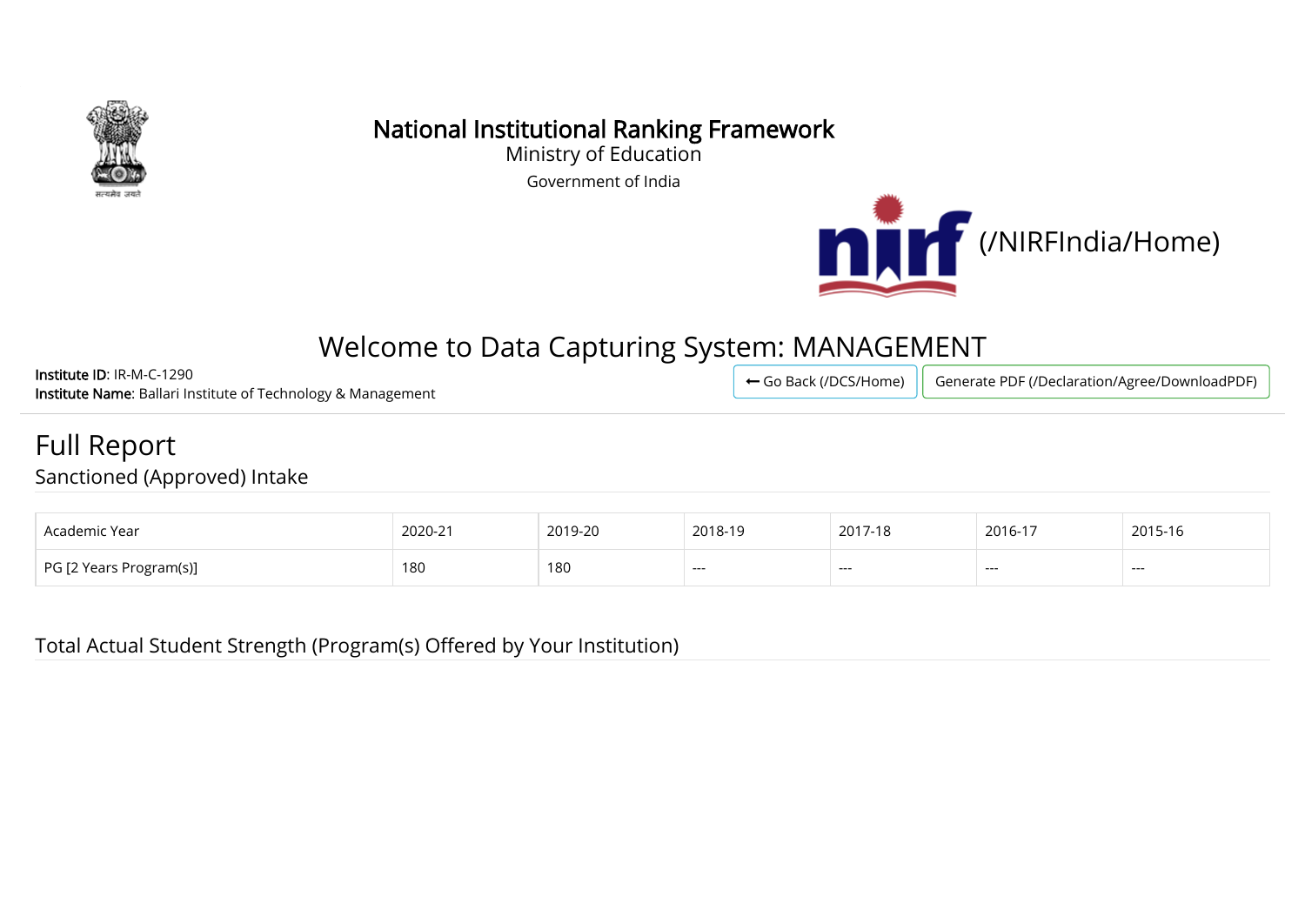

### National Institutional Ranking Framework

Ministry of Education

Government of India



# Welcome to Data Capturing System: MANAGEMENT

Institute ID: IR-M-C-1290 Institute Name: Ballari Institute of Technology & Management

Go Back (/DCS/Home) | [Generate PDF \(/Declaration/Agree/DownloadPDF\)](https://login.nirfindia.org/Declaration/Agree/DownloadPDF)

# Full Report

Sanctioned (Approved) Intake

| Academic Year           | $2020 - 2$ | 2019-20 | 2018-19 | 2017-18 | 2016-17 | 2015-16 |
|-------------------------|------------|---------|---------|---------|---------|---------|
| PG [2 Years Program(s)] | 180        | 180     | $---$   | ---     | ---     | ---     |

Total Actual Student Strength (Program(s) Offered by Your Institution)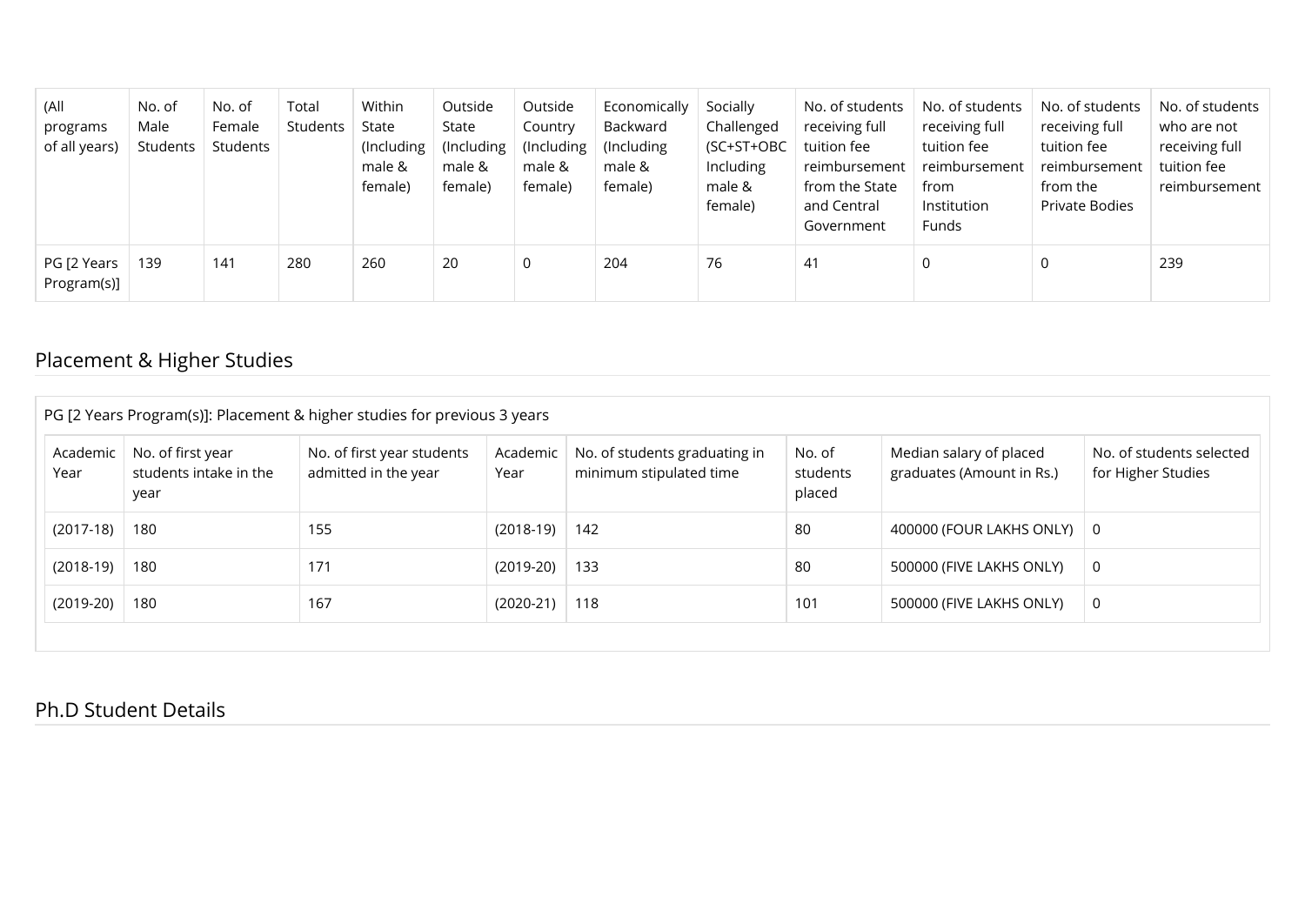| (All<br>programs<br>of all years) | No. of<br>Male<br>Students | No. of<br>Female<br>Students | Total<br>Students | Within<br>State<br>(Including<br>male &<br>female) | Outside<br>State<br>(Including)<br>male &<br>female) | Outside<br>Country<br>(Including<br>male &<br>female) | Economically<br>Backward<br>(Including)<br>male &<br>female) | Socially<br>Challenged<br>(SC+ST+OBC<br><b>Including</b><br>male &<br>female) | No. of students<br>receiving full<br>tuition fee<br>reimbursement<br>from the State<br>and Central<br>Government | No. of students<br>receiving full<br>tuition fee<br>reimbursement<br>from<br>Institution<br>Funds | No. of students<br>receiving full<br>tuition fee<br>reimbursement<br>from the<br><b>Private Bodies</b> | No. of students<br>who are not<br>receiving full<br>tuition fee<br>reimbursement |
|-----------------------------------|----------------------------|------------------------------|-------------------|----------------------------------------------------|------------------------------------------------------|-------------------------------------------------------|--------------------------------------------------------------|-------------------------------------------------------------------------------|------------------------------------------------------------------------------------------------------------------|---------------------------------------------------------------------------------------------------|--------------------------------------------------------------------------------------------------------|----------------------------------------------------------------------------------|
| PG [2 Years<br>Program(s)]        | 139                        | 141                          | 280               | 260                                                | 20                                                   | 0                                                     | 204                                                          | 76                                                                            | 41                                                                                                               |                                                                                                   | 0                                                                                                      | 239                                                                              |

### Placement & Higher Studies

|                  | PG [2 Years Program(s)]: Placement & higher studies for previous 3 years |                                                    |                  |                                                          |                              |                                                      |                                                |  |  |  |
|------------------|--------------------------------------------------------------------------|----------------------------------------------------|------------------|----------------------------------------------------------|------------------------------|------------------------------------------------------|------------------------------------------------|--|--|--|
| Academic<br>Year | No. of first year<br>students intake in the<br>year                      | No. of first year students<br>admitted in the year | Academic<br>Year | No. of students graduating in<br>minimum stipulated time | No. of<br>students<br>placed | Median salary of placed<br>graduates (Amount in Rs.) | No. of students selected<br>for Higher Studies |  |  |  |
| $(2017-18)$      | 180                                                                      | 155                                                | $(2018-19)$      | 142                                                      | 80                           | 400000 (FOUR LAKHS ONLY) $\vert 0 \vert$             |                                                |  |  |  |
| $(2018-19)$      | 180                                                                      | 171                                                | $(2019-20)$      | 133                                                      | 80                           | 500000 (FIVE LAKHS ONLY)                             | 0                                              |  |  |  |
| $(2019-20)$      | 180                                                                      | 167                                                | $(2020-21)$      | 118                                                      | 101                          | 500000 (FIVE LAKHS ONLY)                             | 0                                              |  |  |  |
|                  |                                                                          |                                                    |                  |                                                          |                              |                                                      |                                                |  |  |  |

Ph.D Student Details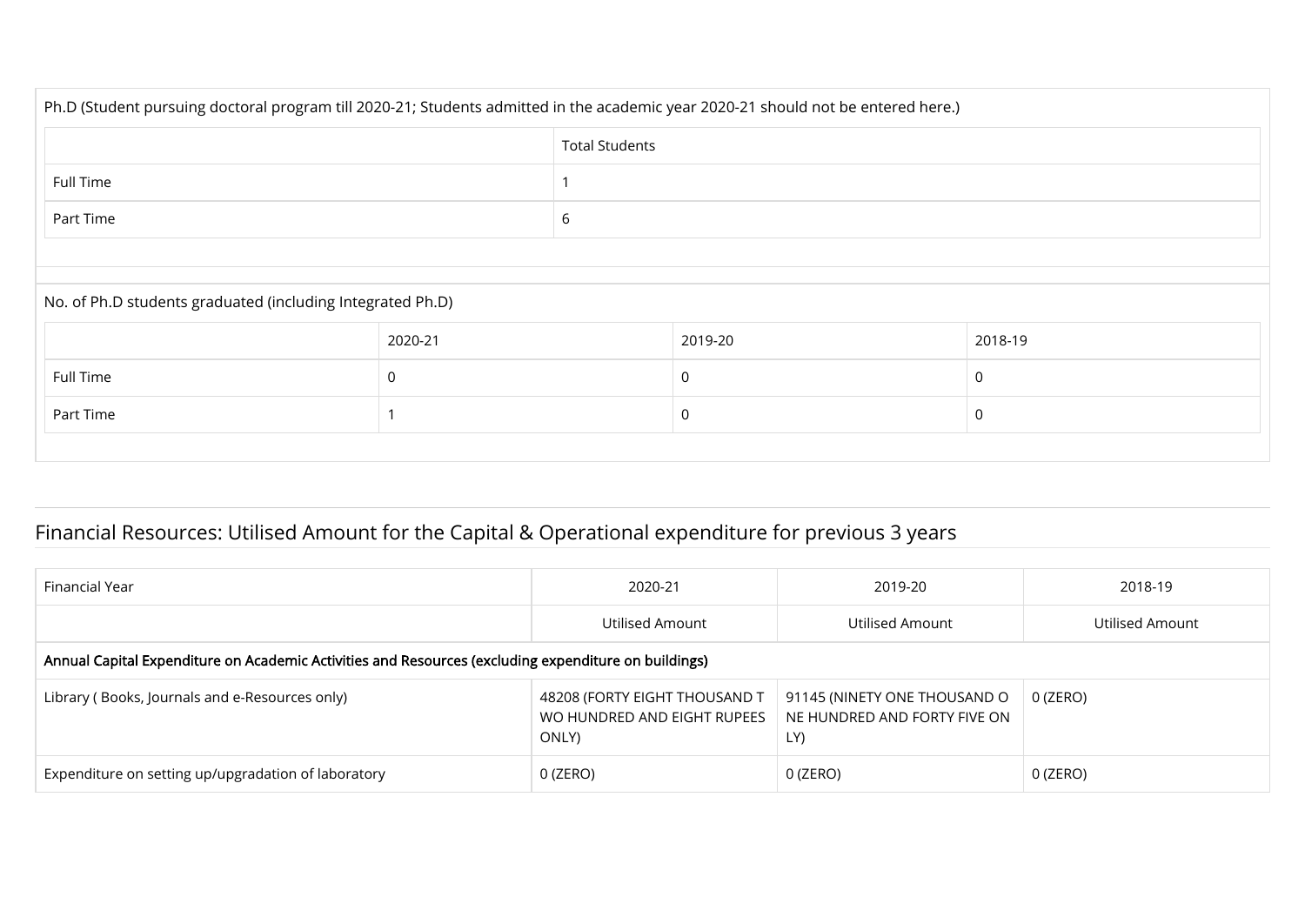| Ph.D (Student pursuing doctoral program till 2020-21; Students admitted in the academic year 2020-21 should not be entered here.) |         |                       |         |         |  |  |  |
|-----------------------------------------------------------------------------------------------------------------------------------|---------|-----------------------|---------|---------|--|--|--|
|                                                                                                                                   |         | <b>Total Students</b> |         |         |  |  |  |
| Full Time                                                                                                                         |         |                       |         |         |  |  |  |
| Part Time                                                                                                                         |         | 6                     |         |         |  |  |  |
|                                                                                                                                   |         |                       |         |         |  |  |  |
| No. of Ph.D students graduated (including Integrated Ph.D)                                                                        |         |                       |         |         |  |  |  |
|                                                                                                                                   | 2020-21 |                       | 2019-20 | 2018-19 |  |  |  |
| Full Time                                                                                                                         | 0       |                       | 0       | 0       |  |  |  |
| Part Time                                                                                                                         |         |                       |         | 0       |  |  |  |
|                                                                                                                                   |         |                       |         |         |  |  |  |

## Financial Resources: Utilised Amount for the Capital & Operational expenditure for previous 3 years

| Financial Year                                                                                       | 2020-21                                                               | 2019-20                                                             | 2018-19         |  |  |  |  |  |
|------------------------------------------------------------------------------------------------------|-----------------------------------------------------------------------|---------------------------------------------------------------------|-----------------|--|--|--|--|--|
|                                                                                                      | Utilised Amount                                                       | Utilised Amount                                                     | Utilised Amount |  |  |  |  |  |
| Annual Capital Expenditure on Academic Activities and Resources (excluding expenditure on buildings) |                                                                       |                                                                     |                 |  |  |  |  |  |
| Library (Books, Journals and e-Resources only)                                                       | 48208 (FORTY EIGHT THOUSAND T<br>WO HUNDRED AND EIGHT RUPEES<br>ONLY) | 91145 (NINETY ONE THOUSAND O<br>NE HUNDRED AND FORTY FIVE ON<br>LY) | 0 (ZERO)        |  |  |  |  |  |
| Expenditure on setting up/upgradation of laboratory                                                  | 0 (ZERO)                                                              | 0 (ZERO)                                                            | 0 (ZERO)        |  |  |  |  |  |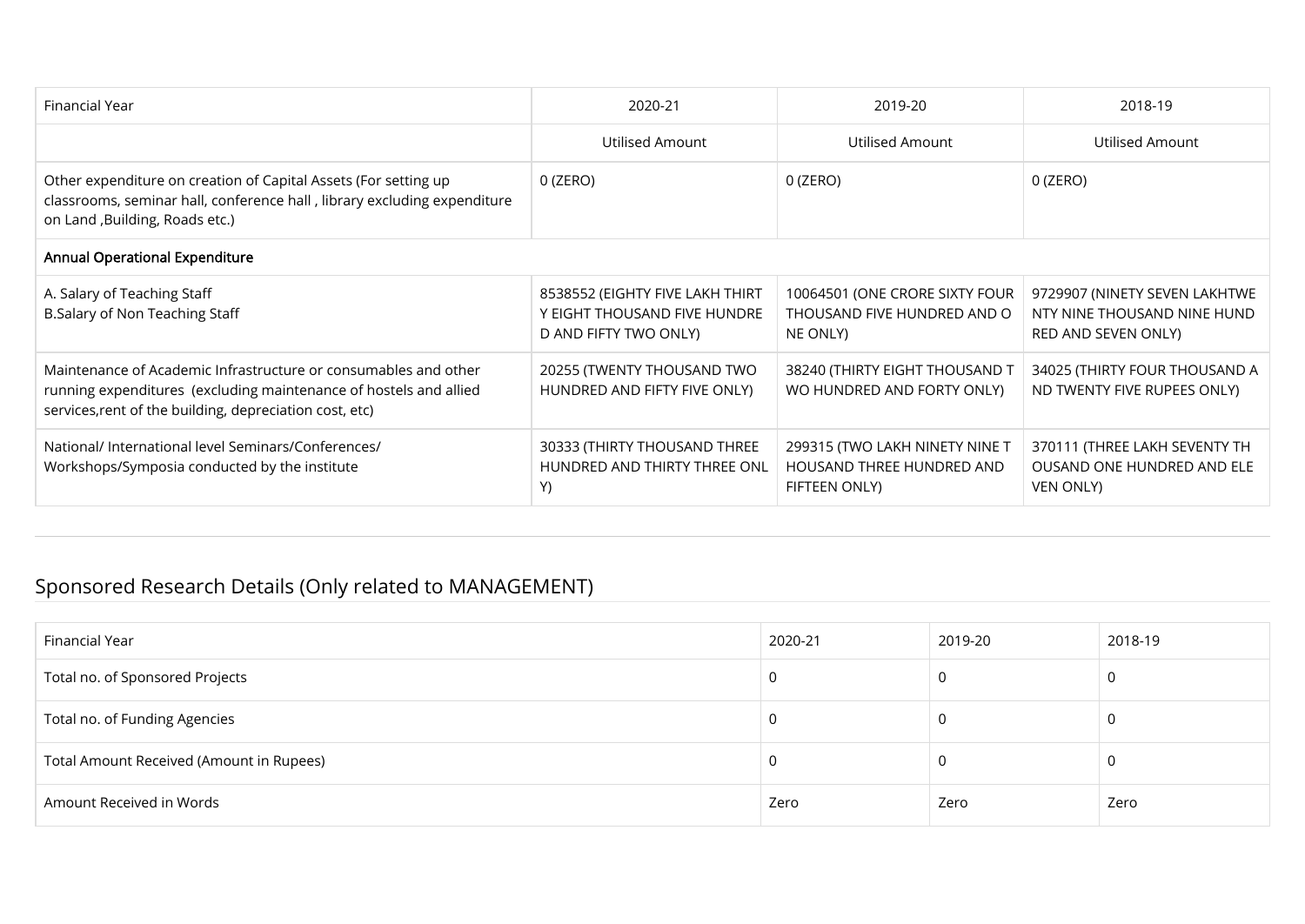| Financial Year                                                                                                                                                                                  | 2020-21                                                                                  | 2019-20                                                                             | 2018-19                                                                             |
|-------------------------------------------------------------------------------------------------------------------------------------------------------------------------------------------------|------------------------------------------------------------------------------------------|-------------------------------------------------------------------------------------|-------------------------------------------------------------------------------------|
|                                                                                                                                                                                                 | Utilised Amount                                                                          | Utilised Amount                                                                     | Utilised Amount                                                                     |
| Other expenditure on creation of Capital Assets (For setting up<br>classrooms, seminar hall, conference hall, library excluding expenditure<br>on Land , Building, Roads etc.)                  | $0$ (ZERO)                                                                               | $0$ (ZERO)                                                                          | $0$ (ZERO)                                                                          |
| <b>Annual Operational Expenditure</b>                                                                                                                                                           |                                                                                          |                                                                                     |                                                                                     |
| A. Salary of Teaching Staff<br>B.Salary of Non Teaching Staff                                                                                                                                   | 8538552 (EIGHTY FIVE LAKH THIRT<br>Y EIGHT THOUSAND FIVE HUNDRE<br>D AND FIFTY TWO ONLY) | 10064501 (ONE CRORE SIXTY FOUR<br>THOUSAND FIVE HUNDRED AND O<br>NE ONLY)           | 9729907 (NINETY SEVEN LAKHTWE<br>NTY NINE THOUSAND NINE HUND<br>RED AND SEVEN ONLY) |
| Maintenance of Academic Infrastructure or consumables and other<br>running expenditures (excluding maintenance of hostels and allied<br>services, rent of the building, depreciation cost, etc) | 20255 (TWENTY THOUSAND TWO<br>HUNDRED AND FIFTY FIVE ONLY)                               | 38240 (THIRTY EIGHT THOUSAND T<br>WO HUNDRED AND FORTY ONLY)                        | 34025 (THIRTY FOUR THOUSAND A<br>ND TWENTY FIVE RUPEES ONLY)                        |
| National/ International level Seminars/Conferences/<br>Workshops/Symposia conducted by the institute                                                                                            | 30333 (THIRTY THOUSAND THREE<br>HUNDRED AND THIRTY THREE ONL<br>Y)                       | 299315 (TWO LAKH NINETY NINE T<br><b>HOUSAND THREE HUNDRED AND</b><br>FIFTEEN ONLY) | 370111 (THREE LAKH SEVENTY TH<br><b>OUSAND ONE HUNDRED AND ELE</b><br>VEN ONLY)     |

## Sponsored Research Details (Only related to MANAGEMENT)

| Financial Year                           | 2020-21 | 2019-20 | 2018-19 |
|------------------------------------------|---------|---------|---------|
| Total no. of Sponsored Projects          | 0       |         |         |
| Total no. of Funding Agencies            | 0       |         |         |
| Total Amount Received (Amount in Rupees) | 0       |         |         |
| Amount Received in Words                 | Zero    | Zero    | Zero    |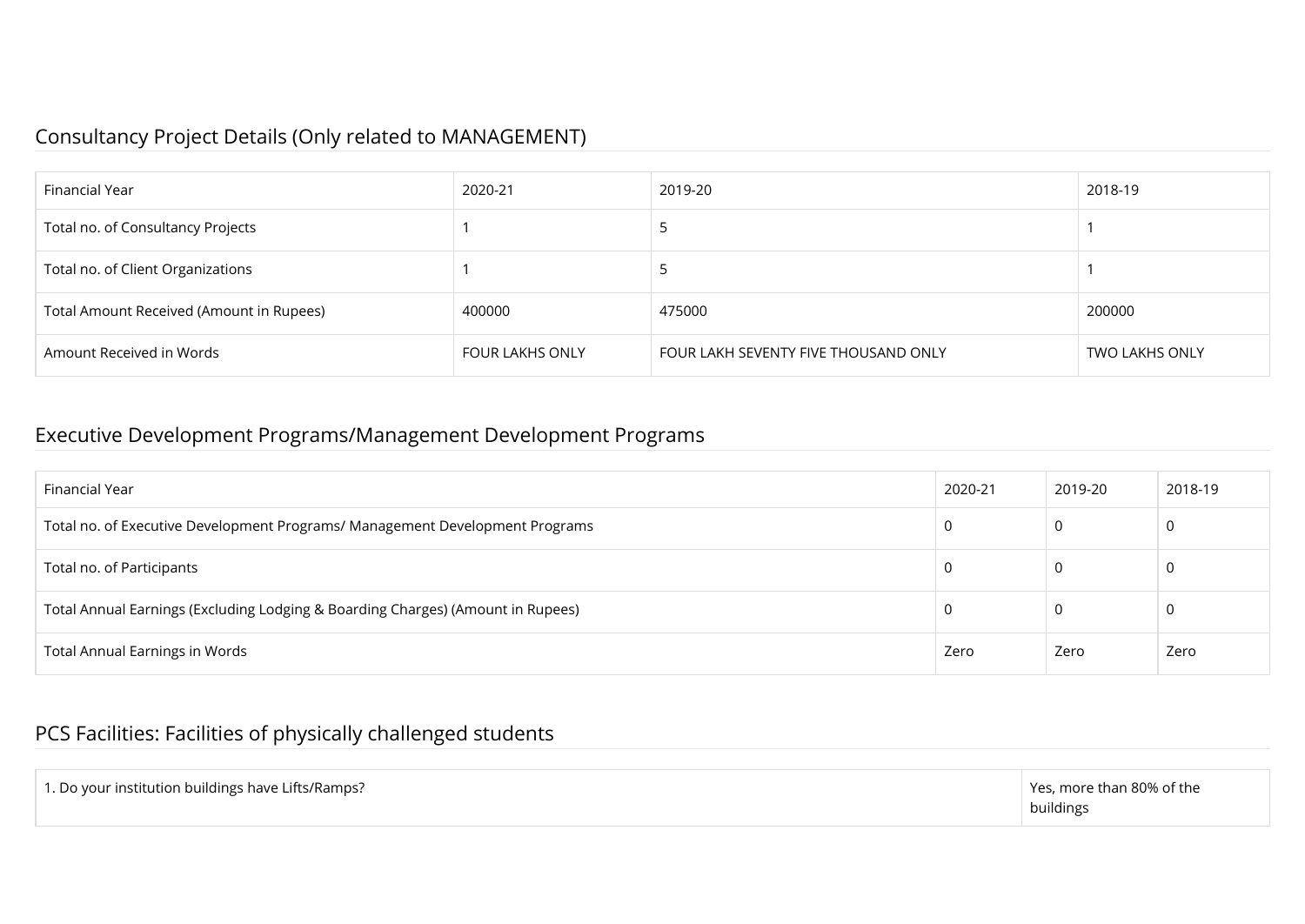#### Consultancy Project Details (Only related to MANAGEMENT)

| Financial Year                           | 2020-21                | 2019-20                              | 2018-19        |
|------------------------------------------|------------------------|--------------------------------------|----------------|
| Total no. of Consultancy Projects        |                        |                                      |                |
| Total no. of Client Organizations        |                        |                                      |                |
| Total Amount Received (Amount in Rupees) | 400000                 | 475000                               | 200000         |
| Amount Received in Words                 | <b>FOUR LAKHS ONLY</b> | FOUR LAKH SEVENTY FIVE THOUSAND ONLY | TWO LAKHS ONLY |

#### Executive Development Programs/Management Development Programs

| Financial Year                                                                  | 2020-21 | 2019-20 | 2018-19 |
|---------------------------------------------------------------------------------|---------|---------|---------|
| Total no. of Executive Development Programs/ Management Development Programs    | U       |         | 0       |
| Total no. of Participants                                                       | 0       |         | 0       |
| Total Annual Earnings (Excluding Lodging & Boarding Charges) (Amount in Rupees) | 0       |         | 0       |
| <b>Total Annual Earnings in Words</b>                                           | Zero    | Zero    | Zero    |

#### PCS Facilities: Facilities of physically challenged students

| 1. Do your institution buildings have Lifts/Ramps? | Yes, more than 80% of the<br>building |
|----------------------------------------------------|---------------------------------------|
|----------------------------------------------------|---------------------------------------|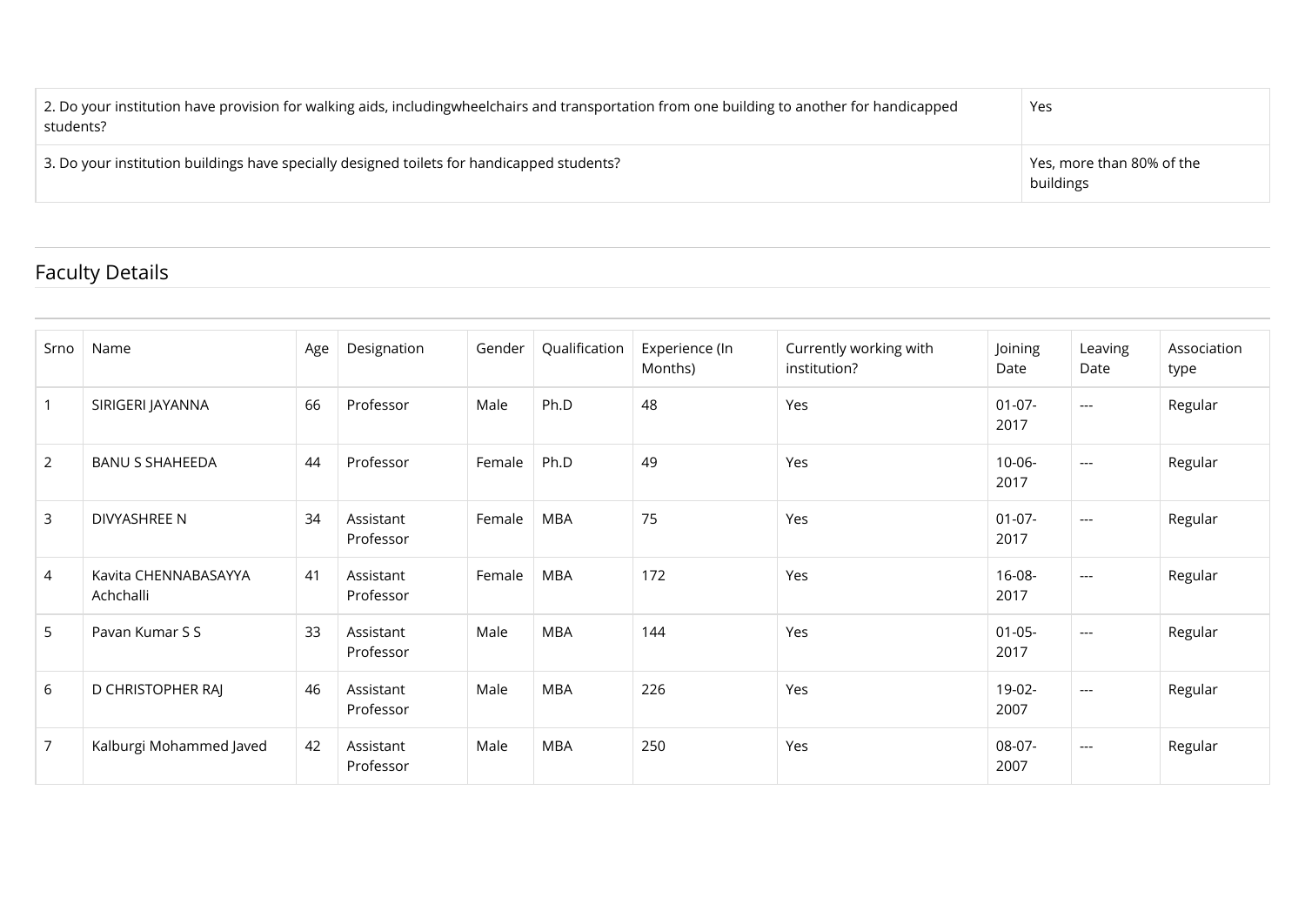| 2. Do your institution have provision for walking aids, includingwheelchairs and transportation from one building to another for handicapped<br>students? | Yes                                    |
|-----------------------------------------------------------------------------------------------------------------------------------------------------------|----------------------------------------|
| 3. Do your institution buildings have specially designed toilets for handicapped students?                                                                | Yes, more than 80% of the<br>buildings |

## Faculty Details

| Srno           | Name                              | Age | Designation            | Gender | Qualification | Experience (In<br>Months) | Currently working with<br>institution? | Joining<br>Date     | Leaving<br>Date | Association<br>type |
|----------------|-----------------------------------|-----|------------------------|--------|---------------|---------------------------|----------------------------------------|---------------------|-----------------|---------------------|
| 1              | SIRIGERI JAYANNA                  | 66  | Professor              | Male   | Ph.D          | 48                        | Yes                                    | $01 - 07 -$<br>2017 | $---$           | Regular             |
| $\overline{2}$ | <b>BANU S SHAHEEDA</b>            | 44  | Professor              | Female | Ph.D          | 49                        | Yes                                    | $10 - 06 -$<br>2017 | $---$           | Regular             |
| $\mathbf{3}$   | DIVYASHREE N                      | 34  | Assistant<br>Professor | Female | <b>MBA</b>    | 75                        | Yes                                    | $01-07-$<br>2017    | $---$           | Regular             |
| 4              | Kavita CHENNABASAYYA<br>Achchalli | 41  | Assistant<br>Professor | Female | <b>MBA</b>    | 172                       | Yes                                    | $16 - 08 -$<br>2017 | $---$           | Regular             |
| 5 <sub>1</sub> | Pavan Kumar S S                   | 33  | Assistant<br>Professor | Male   | <b>MBA</b>    | 144                       | Yes                                    | $01-05-$<br>2017    | $---$           | Regular             |
| 6              | D CHRISTOPHER RAJ                 | 46  | Assistant<br>Professor | Male   | <b>MBA</b>    | 226                       | Yes                                    | 19-02-<br>2007      | $---$           | Regular             |
| $\overline{7}$ | Kalburgi Mohammed Javed           | 42  | Assistant<br>Professor | Male   | <b>MBA</b>    | 250                       | Yes                                    | 08-07-<br>2007      | $---$           | Regular             |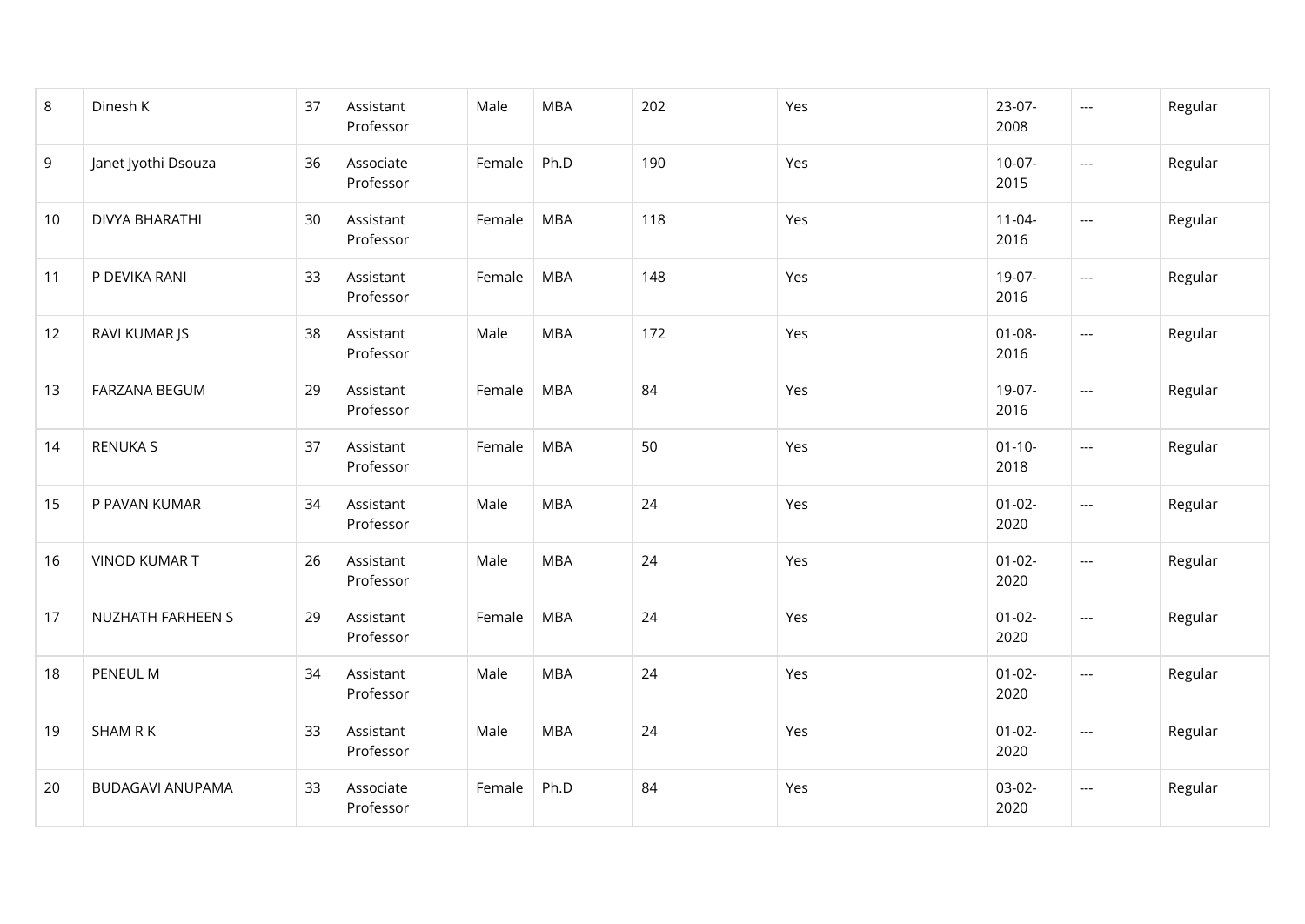| 8  | Dinesh K                | 37 | Assistant<br>Professor | Male   | <b>MBA</b> | 202 | Yes | $23-07-$<br>2008    | ---                      | Regular |
|----|-------------------------|----|------------------------|--------|------------|-----|-----|---------------------|--------------------------|---------|
| 9  | Janet Jyothi Dsouza     | 36 | Associate<br>Professor | Female | Ph.D       | 190 | Yes | $10-07-$<br>2015    | $\overline{\phantom{a}}$ | Regular |
| 10 | <b>DIVYA BHARATHI</b>   | 30 | Assistant<br>Professor | Female | <b>MBA</b> | 118 | Yes | $11-04-$<br>2016    | ---                      | Regular |
| 11 | P DEVIKA RANI           | 33 | Assistant<br>Professor | Female | <b>MBA</b> | 148 | Yes | 19-07-<br>2016      | $---$                    | Regular |
| 12 | RAVI KUMAR JS           | 38 | Assistant<br>Professor | Male   | <b>MBA</b> | 172 | Yes | $01 - 08 -$<br>2016 | $\overline{\phantom{a}}$ | Regular |
| 13 | <b>FARZANA BEGUM</b>    | 29 | Assistant<br>Professor | Female | <b>MBA</b> | 84  | Yes | 19-07-<br>2016      | ---                      | Regular |
| 14 | <b>RENUKA S</b>         | 37 | Assistant<br>Professor | Female | <b>MBA</b> | 50  | Yes | $01 - 10 -$<br>2018 | $\overline{\phantom{a}}$ | Regular |
| 15 | P PAVAN KUMAR           | 34 | Assistant<br>Professor | Male   | <b>MBA</b> | 24  | Yes | $01 - 02 -$<br>2020 | ---                      | Regular |
| 16 | <b>VINOD KUMAR T</b>    | 26 | Assistant<br>Professor | Male   | <b>MBA</b> | 24  | Yes | $01 - 02 -$<br>2020 | ---                      | Regular |
| 17 | NUZHATH FARHEEN S       | 29 | Assistant<br>Professor | Female | <b>MBA</b> | 24  | Yes | $01 - 02 -$<br>2020 | ---                      | Regular |
| 18 | PENEUL M                | 34 | Assistant<br>Professor | Male   | <b>MBA</b> | 24  | Yes | $01 - 02 -$<br>2020 | ---                      | Regular |
| 19 | <b>SHAM RK</b>          | 33 | Assistant<br>Professor | Male   | <b>MBA</b> | 24  | Yes | $01 - 02 -$<br>2020 | ---                      | Regular |
| 20 | <b>BUDAGAVI ANUPAMA</b> | 33 | Associate<br>Professor | Female | Ph.D       | 84  | Yes | $03-02-$<br>2020    | ---                      | Regular |